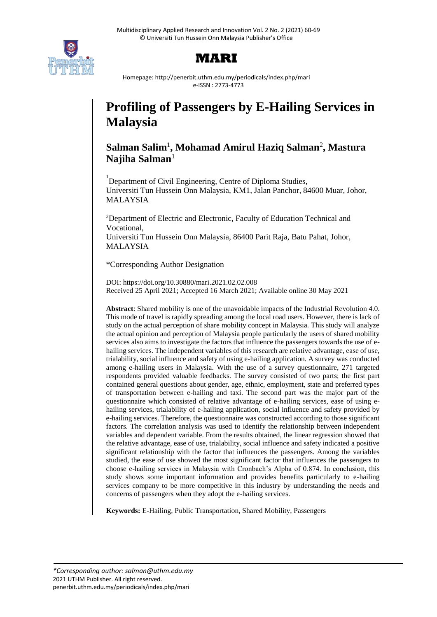

# **MARI**

Homepage: http://penerbit.uthm.edu.my/periodicals/index.php/mari e-ISSN : 2773-4773

# **Profiling of Passengers by E-Hailing Services in Malaysia**

# **Salman Salim**<sup>1</sup> **, Mohamad Amirul Haziq Salman**<sup>2</sup> **, Mastura Najiha Salman**<sup>1</sup>

<sup>1</sup>Department of Civil Engineering, Centre of Diploma Studies, Universiti Tun Hussein Onn Malaysia, KM1, Jalan Panchor, 84600 Muar, Johor, MALAYSIA

<sup>2</sup>Department of Electric and Electronic, Faculty of Education Technical and Vocational,

Universiti Tun Hussein Onn Malaysia, 86400 Parit Raja, Batu Pahat, Johor, MALAYSIA

\*Corresponding Author Designation

DOI: https://doi.org/10.30880/mari.2021.02.02.008 Received 25 April 2021; Accepted 16 March 2021; Available online 30 May 2021

**Abstract**: Shared mobility is one of the unavoidable impacts of the Industrial Revolution 4.0. This mode of travel is rapidly spreading among the local road users. However, there is lack of study on the actual perception of share mobility concept in Malaysia. This study will analyze the actual opinion and perception of Malaysia people particularly the users of shared mobility services also aims to investigate the factors that influence the passengers towards the use of ehailing services. The independent variables of this research are relative advantage, ease of use, trialability, social influence and safety of using e-hailing application. A survey was conducted among e-hailing users in Malaysia. With the use of a survey questionnaire, 271 targeted respondents provided valuable feedbacks. The survey consisted of two parts; the first part contained general questions about gender, age, ethnic, employment, state and preferred types of transportation between e-hailing and taxi. The second part was the major part of the questionnaire which consisted of relative advantage of e-hailing services, ease of using ehailing services, trialability of e-hailing application, social influence and safety provided by e-hailing services. Therefore, the questionnaire was constructed according to those significant factors. The correlation analysis was used to identify the relationship between independent variables and dependent variable. From the results obtained, the linear regression showed that the relative advantage, ease of use, trialability, social influence and safety indicated a positive significant relationship with the factor that influences the passengers. Among the variables studied, the ease of use showed the most significant factor that influences the passengers to choose e-hailing services in Malaysia with Cronbach's Alpha of 0.874. In conclusion, this study shows some important information and provides benefits particularly to e-hailing services company to be more competitive in this industry by understanding the needs and concerns of passengers when they adopt the e-hailing services.

**Keywords:** E-Hailing, Public Transportation, Shared Mobility, Passengers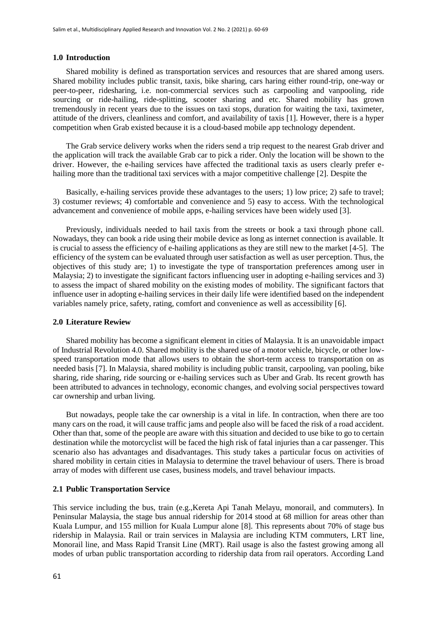#### **1.0 Introduction**

Shared mobility is defined as transportation services and resources that are shared among users. Shared mobility includes public transit, taxis, bike sharing, cars haring either round-trip, one-way or peer-to-peer, ridesharing, i.e. non-commercial services such as carpooling and vanpooling, ride sourcing or ride-hailing, ride-splitting, scooter sharing and etc. Shared mobility has grown tremendously in recent years due to the issues on taxi stops, duration for waiting the taxi, taximeter, attitude of the drivers, cleanliness and comfort, and availability of taxis [1]. However, there is a hyper competition when Grab existed because it is a cloud-based mobile app technology dependent.

The Grab service delivery works when the riders send a trip request to the nearest Grab driver and the application will track the available Grab car to pick a rider. Only the location will be shown to the driver. However, the e-hailing services have affected the traditional taxis as users clearly prefer ehailing more than the traditional taxi services with a major competitive challenge [2]. Despite the

Basically, e-hailing services provide these advantages to the users; 1) low price; 2) safe to travel; 3) costumer reviews; 4) comfortable and convenience and 5) easy to access. With the technological advancement and convenience of mobile apps, e-hailing services have been widely used [3].

Previously, individuals needed to hail taxis from the streets or book a taxi through phone call. Nowadays, they can book a ride using their mobile device as long as internet connection is available. It is crucial to assess the efficiency of e-hailing applications as they are still new to the market [4-5]. The efficiency of the system can be evaluated through user satisfaction as well as user perception. Thus, the objectives of this study are; 1) to investigate the type of transportation preferences among user in Malaysia; 2) to investigate the significant factors influencing user in adopting e-hailing services and 3) to assess the impact of shared mobility on the existing modes of mobility. The significant factors that influence user in adopting e-hailing services in their daily life were identified based on the independent variables namely price, safety, rating, comfort and convenience as well as accessibility [6].

#### **2.0 Literature Rewiew**

Shared mobility has become a significant element in cities of Malaysia. It is an unavoidable impact of Industrial Revolution 4.0. Shared mobility is the shared use of a motor vehicle, bicycle, or other lowspeed transportation mode that allows users to obtain the short-term access to transportation on as needed basis [7]. In Malaysia, shared mobility is including public transit, carpooling, van pooling, bike sharing, ride sharing, ride sourcing or e-hailing services such as Uber and Grab. Its recent growth has been attributed to advances in technology, economic changes, and evolving social perspectives toward car ownership and urban living.

But nowadays, people take the car ownership is a vital in life. In contraction, when there are too many cars on the road, it will cause traffic jams and people also will be faced the risk of a road accident. Other than that, some of the people are aware with this situation and decided to use bike to go to certain destination while the motorcyclist will be faced the high risk of fatal injuries than a car passenger. This scenario also has advantages and disadvantages. This study takes a particular focus on activities of shared mobility in certain cities in Malaysia to determine the travel behaviour of users. There is broad array of modes with different use cases, business models, and travel behaviour impacts.

#### **2.1 Public Transportation Service**

This service including the bus, train (e.g.,Kereta Api Tanah Melayu, monorail, and commuters). In Peninsular Malaysia, the stage bus annual ridership for 2014 stood at 68 million for areas other than Kuala Lumpur, and 155 million for Kuala Lumpur alone [8]. This represents about 70% of stage bus ridership in Malaysia. Rail or train services in Malaysia are including KTM commuters, LRT line, Monorail line, and Mass Rapid Transit Line (MRT). Rail usage is also the fastest growing among all modes of urban public transportation according to ridership data from rail operators. According Land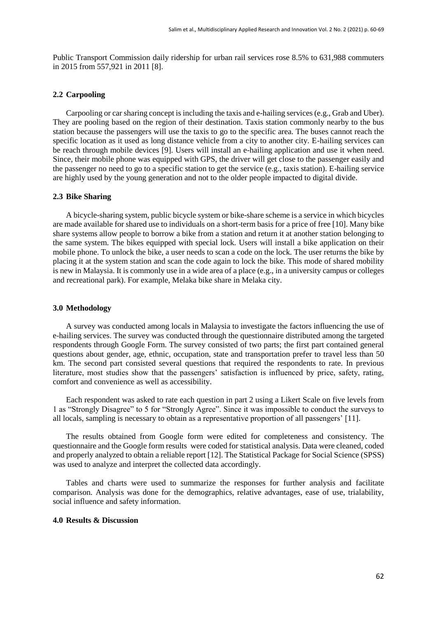Public Transport Commission daily ridership for urban rail services rose 8.5% to 631,988 commuters in 2015 from 557,921 in 2011 [8].

#### **2.2 Carpooling**

Carpooling or car sharing concept is including the taxis and e-hailing services (e.g., Grab and Uber). They are pooling based on the region of their destination. Taxis station commonly nearby to the bus station because the passengers will use the taxis to go to the specific area. The buses cannot reach the specific location as it used as long distance vehicle from a city to another city. E-hailing services can be reach through mobile devices [9]. Users will install an e-hailing application and use it when need. Since, their mobile phone was equipped with GPS, the driver will get close to the passenger easily and the passenger no need to go to a specific station to get the service (e.g., taxis station). E-hailing service are highly used by the young generation and not to the older people impacted to digital divide.

#### **2.3 Bike Sharing**

A bicycle-sharing system, public bicycle system or bike-share scheme is a service in which bicycles are made available for shared use to individuals on a short-term basis for a price of free [10]. Many bike share systems allow people to borrow a bike from a station and return it at another station belonging to the same system. The bikes equipped with special lock. Users will install a bike application on their mobile phone. To unlock the bike, a user needs to scan a code on the lock. The user returns the bike by placing it at the system station and scan the code again to lock the bike. This mode of shared mobility is new in Malaysia. It is commonly use in a wide area of a place (e.g., in a university campus or colleges and recreational park). For example, Melaka bike share in Melaka city.

#### **3.0 Methodology**

A survey was conducted among locals in Malaysia to investigate the factors influencing the use of e-hailing services. The survey was conducted through the questionnaire distributed among the targeted respondents through Google Form. The survey consisted of two parts; the first part contained general questions about gender, age, ethnic, occupation, state and transportation prefer to travel less than 50 km. The second part consisted several questions that required the respondents to rate. In previous literature, most studies show that the passengers' satisfaction is influenced by price, safety, rating, comfort and convenience as well as accessibility.

Each respondent was asked to rate each question in part 2 using a Likert Scale on five levels from 1 as "Strongly Disagree" to 5 for "Strongly Agree". Since it was impossible to conduct the surveys to all locals, sampling is necessary to obtain as a representative proportion of all passengers' [11].

The results obtained from Google form were edited for completeness and consistency. The questionnaire and the Google form results were coded for statistical analysis. Data were cleaned, coded and properly analyzed to obtain a reliable report [12]. The Statistical Package for Social Science (SPSS) was used to analyze and interpret the collected data accordingly.

Tables and charts were used to summarize the responses for further analysis and facilitate comparison. Analysis was done for the demographics, relative advantages, ease of use, trialability, social influence and safety information.

#### **4.0 Results & Discussion**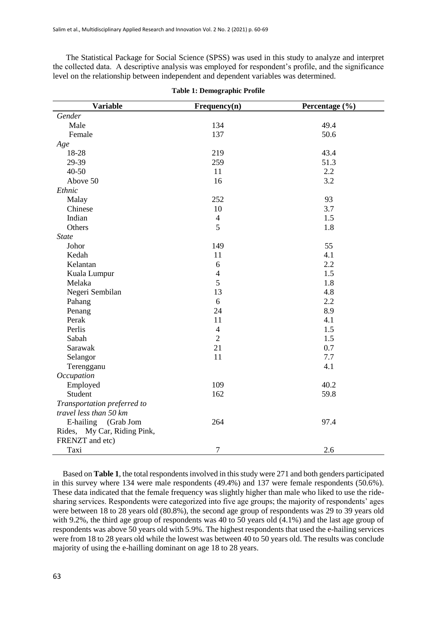The Statistical Package for Social Science (SPSS) was used in this study to analyze and interpret the collected data. A descriptive analysis was employed for respondent's profile, and the significance level on the relationship between independent and dependent variables was determined.

| <b>Variable</b>             | Frequency(n)   | Percentage (%) |
|-----------------------------|----------------|----------------|
| Gender                      |                |                |
| Male                        | 134            | 49.4           |
| Female                      | 137            | 50.6           |
| Age                         |                |                |
| 18-28                       | 219            | 43.4           |
| 29-39                       | 259            | 51.3           |
| $40 - 50$                   | 11             | 2.2            |
| Above 50                    | 16             | 3.2            |
| Ethnic                      |                |                |
| Malay                       | 252            | 93             |
| Chinese                     | 10             | 3.7            |
| Indian                      | $\overline{4}$ | 1.5            |
| Others                      | 5              | 1.8            |
| <b>State</b>                |                |                |
| Johor                       | 149            | 55             |
| Kedah                       | 11             | 4.1            |
| Kelantan                    | 6              | 2.2            |
| Kuala Lumpur                | $\overline{4}$ | 1.5            |
| Melaka                      | 5              | 1.8            |
| Negeri Sembilan             | 13             | 4.8            |
| Pahang                      | 6              | 2.2            |
| Penang                      | 24             | 8.9            |
| Perak                       | 11             | 4.1            |
| Perlis                      | $\overline{4}$ | 1.5            |
| Sabah                       | $\overline{2}$ | 1.5            |
| Sarawak                     | 21             | 0.7            |
| Selangor                    | 11             | 7.7            |
| Terengganu                  |                | 4.1            |
| Occupation                  |                |                |
| Employed                    | 109            | 40.2           |
| Student                     | 162            | 59.8           |
| Transportation preferred to |                |                |
| travel less than 50 km      |                |                |
| E-hailing (Grab Jom         | 264            | 97.4           |
| Rides, My Car, Riding Pink, |                |                |
| FRENZT and etc)             |                |                |
| Taxi                        | $\tau$         | 2.6            |

|  |  | <b>Table 1: Demographic Profile</b> |  |  |
|--|--|-------------------------------------|--|--|
|--|--|-------------------------------------|--|--|

Based on **Table 1**, the total respondents involved in this study were 271 and both genders participated in this survey where 134 were male respondents (49.4%) and 137 were female respondents (50.6%). These data indicated that the female frequency was slightly higher than male who liked to use the ridesharing services. Respondents were categorized into five age groups; the majority of respondents' ages were between 18 to 28 years old (80.8%), the second age group of respondents was 29 to 39 years old with 9.2%, the third age group of respondents was 40 to 50 years old  $(4.1\%)$  and the last age group of respondents was above 50 years old with 5.9%. The highest respondents that used the e-hailing services were from 18 to 28 years old while the lowest was between 40 to 50 years old. The results was conclude majority of using the e-hailling dominant on age 18 to 28 years.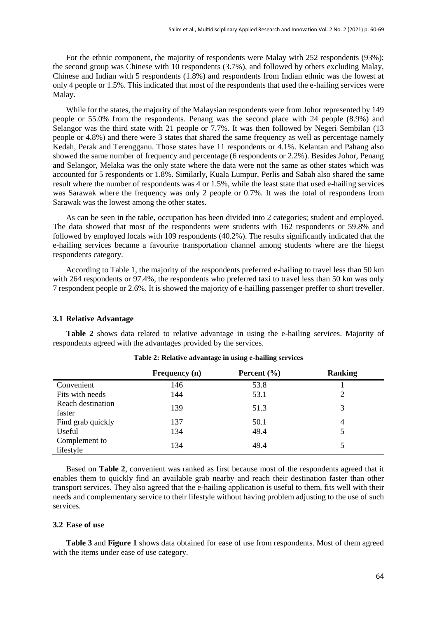For the ethnic component, the majority of respondents were Malay with 252 respondents (93%); the second group was Chinese with 10 respondents (3.7%), and followed by others excluding Malay, Chinese and Indian with 5 respondents (1.8%) and respondents from Indian ethnic was the lowest at only 4 people or 1.5%. This indicated that most of the respondents that used the e-hailing services were Malay.

While for the states, the majority of the Malaysian respondents were from Johor represented by 149 people or 55.0% from the respondents. Penang was the second place with 24 people (8.9%) and Selangor was the third state with 21 people or 7.7%. It was then followed by Negeri Sembilan (13 people or 4.8%) and there were 3 states that shared the same frequency as well as percentage namely Kedah, Perak and Terengganu. Those states have 11 respondents or 4.1%. Kelantan and Pahang also showed the same number of frequency and percentage (6 respondents or 2.2%). Besides Johor, Penang and Selangor, Melaka was the only state where the data were not the same as other states which was accounted for 5 respondents or 1.8%. Similarly, Kuala Lumpur, Perlis and Sabah also shared the same result where the number of respondents was 4 or 1.5%, while the least state that used e-hailing services was Sarawak where the frequency was only 2 people or 0.7%. It was the total of respondens from Sarawak was the lowest among the other states.

As can be seen in the table, occupation has been divided into 2 categories; student and employed. The data showed that most of the respondents were students with 162 respondents or 59.8% and followed by employed locals with 109 respondents (40.2%). The results significantly indicated that the e-hailing services became a favourite transportation channel among students where are the hiegst respondents category.

According to Table 1, the majority of the respondents preferred e-hailing to travel less than 50 km with 264 respondents or 97.4%, the respondents who preferred taxi to travel less than 50 km was only 7 respondent people or 2.6%. It is showed the majority of e-hailling passenger preffer to short treveller.

#### **3.1 Relative Advantage**

**Table 2** shows data related to relative advantage in using the e-hailing services. Majority of respondents agreed with the advantages provided by the services.

|                             | Frequency (n) | Percent $(\% )$ | <b>Ranking</b> |
|-----------------------------|---------------|-----------------|----------------|
| Convenient                  | 146           | 53.8            |                |
| Fits with needs             | 144           | 53.1            |                |
| Reach destination<br>faster | 139           | 51.3            | 3              |
| Find grab quickly           | 137           | 50.1            | 4              |
| Useful                      | 134           | 49.4            |                |
| Complement to<br>lifestyle  | 134           | 49.4            |                |

**Table 2: Relative advantage in using e-hailing services**

Based on **Table 2**, convenient was ranked as first because most of the respondents agreed that it enables them to quickly find an available grab nearby and reach their destination faster than other transport services. They also agreed that the e-hailing application is useful to them, fits well with their needs and complementary service to their lifestyle without having problem adjusting to the use of such services.

# **3.2 Ease of use**

**Table 3** and **Figure 1** shows data obtained for ease of use from respondents. Most of them agreed with the items under ease of use category.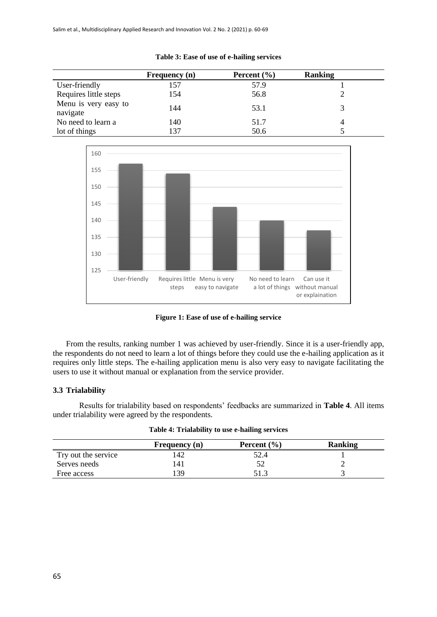|                                  | <b>Frequency</b> (n) | Percent $(\% )$ | <b>Ranking</b> |
|----------------------------------|----------------------|-----------------|----------------|
| User-friendly                    | 157                  | 57.9            |                |
| Requires little steps            | 154                  | 56.8            |                |
| Menu is very easy to<br>navigate | 144                  | 53.1            |                |
| No need to learn a               | 140                  | 51.7            |                |
| lot of things                    | 37                   | 50.6            |                |

#### **Table 3: Ease of use of e-hailing services**



**Figure 1: Ease of use of e-hailing service**

From the results, ranking number 1 was achieved by user-friendly. Since it is a user-friendly app, the respondents do not need to learn a lot of things before they could use the e-hailing application as it requires only little steps. The e-hailing application menu is also very easy to navigate facilitating the users to use it without manual or explanation from the service provider.

# **3.3 Trialability**

Results for trialability based on respondents' feedbacks are summarized in **Table 4**. All items under trialability were agreed by the respondents.

|                     | Frequency (n) | Percent $(\% )$ | <b>Ranking</b> |
|---------------------|---------------|-----------------|----------------|
| Try out the service | .42           | 52.4            |                |
| Serves needs        | 41            |                 |                |
| Free access         | 39            | 512             |                |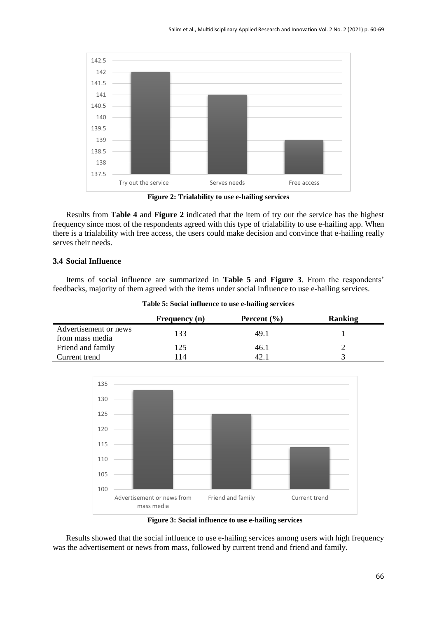

**Figure 2: Trialability to use e-hailing services**

Results from **Table 4** and **Figure 2** indicated that the item of try out the service has the highest frequency since most of the respondents agreed with this type of trialability to use e-hailing app. When there is a trialability with free access, the users could make decision and convince that e-hailing really serves their needs.

# **3.4 Social Influence**

Items of social influence are summarized in **Table 5** and **Figure 3**. From the respondents' feedbacks, majority of them agreed with the items under social influence to use e-hailing services.

|                                          | <b>Frequency</b> (n) | Percent $(\% )$ | <b>Ranking</b> |
|------------------------------------------|----------------------|-----------------|----------------|
| Advertisement or news<br>from mass media | 133                  | 49.1            |                |
| Friend and family                        | 125                  | 46.1            |                |
| Current trend                            | 114                  | 42.             |                |



**Figure 3: Social influence to use e-hailing services**

Results showed that the social influence to use e-hailing services among users with high frequency was the advertisement or news from mass, followed by current trend and friend and family.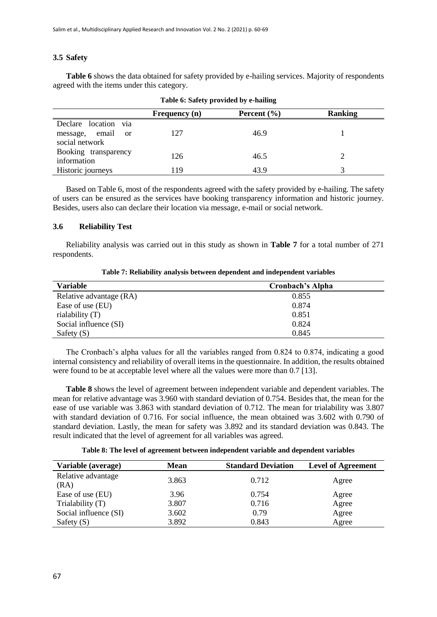# **3.5 Safety**

**Table 6** shows the data obtained for safety provided by e-hailing services. Majority of respondents agreed with the items under this category.

|                                 | $\frac{1}{2}$ and $\frac{1}{2}$ between $\frac{1}{2}$ between $\frac{1}{2}$ between $\frac{1}{2}$ |                 |                |  |
|---------------------------------|---------------------------------------------------------------------------------------------------|-----------------|----------------|--|
|                                 | <b>Frequency</b> (n)                                                                              | Percent $(\% )$ | <b>Ranking</b> |  |
| Declare location via            |                                                                                                   |                 |                |  |
| message, email<br><sub>or</sub> | 127                                                                                               | 46.9            |                |  |
| social network                  |                                                                                                   |                 |                |  |
| Booking transparency            | 126                                                                                               | 46.5            |                |  |
| information                     |                                                                                                   |                 |                |  |
| Historic journeys               | 119                                                                                               | 43.9            |                |  |

**Table 6: Safety provided by e-hailing**

Based on Table 6, most of the respondents agreed with the safety provided by e-hailing. The safety of users can be ensured as the services have booking transparency information and historic journey. Besides, users also can declare their location via message, e-mail or social network.

### **3.6 Reliability Test**

Reliability analysis was carried out in this study as shown in **Table 7** for a total number of 271 respondents.

**Table 7: Reliability analysis between dependent and independent variables**

| <b>Variable</b>         | <b>Cronbach's Alpha</b> |
|-------------------------|-------------------------|
| Relative advantage (RA) | 0.855                   |
| Ease of use (EU)        | 0.874                   |
| rialability $(T)$       | 0.851                   |
| Social influence (SI)   | 0.824                   |
| Safety $(S)$            | 0.845                   |

The Cronbach's alpha values for all the variables ranged from 0.824 to 0.874, indicating a good internal consistency and reliability of overall items in the questionnaire. In addition, the results obtained were found to be at acceptable level where all the values were more than 0.7 [13].

**Table 8** shows the level of agreement between independent variable and dependent variables. The mean for relative advantage was 3.960 with standard deviation of 0.754. Besides that, the mean for the ease of use variable was 3.863 with standard deviation of 0.712. The mean for trialability was 3.807 with standard deviation of 0.716. For social influence, the mean obtained was 3.602 with 0.790 of standard deviation. Lastly, the mean for safety was 3.892 and its standard deviation was 0.843. The result indicated that the level of agreement for all variables was agreed.

**Table 8: The level of agreement between independent variable and dependent variables**

| Variable (average)         | <b>Mean</b> | <b>Standard Deviation</b> | <b>Level of Agreement</b> |
|----------------------------|-------------|---------------------------|---------------------------|
| Relative advantage<br>(RA) | 3.863       | 0.712                     | Agree                     |
| Ease of use (EU)           | 3.96        | 0.754                     | Agree                     |
| Trialability (T)           | 3.807       | 0.716                     | Agree                     |
| Social influence (SI)      | 3.602       | 0.79                      | Agree                     |
| Safety $(S)$               | 3.892       | 0.843                     | Agree                     |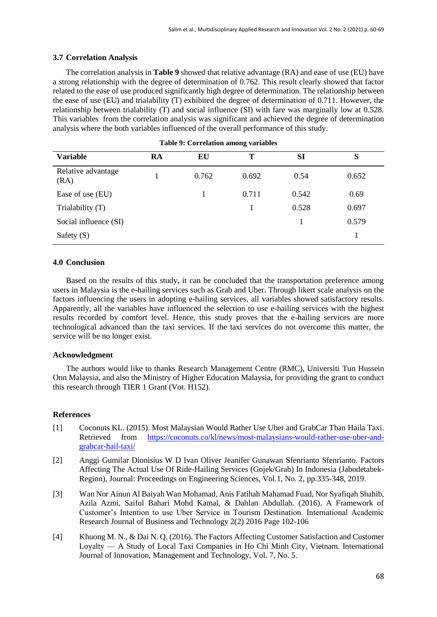# **3.7 Correlation Analysis**

The correlation analysis in **Table 9** showed that relative advantage (RA) and ease of use (EU) have a strong relationship with the degree of determination of 0.762. This result clearly showed that factor related to the ease of use produced significantly high degree of determination. The relationship between the ease of use (EU) and trialability (T) exhibited the degree of determination of 0.711. However, the relationship between trialability (T) and social influence (SI) with fare was marginally low at 0.528. This variables from the correlation analysis was significant and achieved the degree of determination analysis where the both variables influenced of the overall performance of this study.

| <b>Variable</b>            | RA | EU    | Т     | SI    | S     |
|----------------------------|----|-------|-------|-------|-------|
| Relative advantage<br>(RA) |    | 0.762 | 0.692 | 0.54  | 0.652 |
| Ease of use (EU)           |    |       | 0.711 | 0.542 | 0.69  |
| Trialability (T)           |    |       |       | 0.528 | 0.697 |
| Social influence (SI)      |    |       |       |       | 0.579 |
| Safety $(S)$               |    |       |       |       |       |

**Table 9: Correlation among variables**

## **4.0 Conclusion**

Based on the results of this study, it can be concluded that the transportation preference among users in Malaysia is the e-hailing services such as Grab and Uber. Through likert scale analysis on the factors influencing the users in adopting e-hailing services, all variables showed satisfactory results. Apparently, all the variables have influenced the selection to use e-hailing services with the highest results recorded by comfort level. Hence, this study proves that the e-hailing services are more technological advanced than the taxi services. If the taxi services do not overcome this matter, the service will be no longer exist.

# **Acknowledgment**

The authors would like to thanks Research Management Centre (RMC), Universiti Tun Hussein Onn Malaysia, and also the Ministry of Higher Education Malaysia, for providing the grant to conduct this research through TIER 1 Grant (Vot. H152).

# **References**

- [1] Coconuts KL. (2015). Most Malaysian Would Rather Use Uber and GrabCar Than Haila Taxi. Retrieved from [https://coconuts.co/kl/news/most-malaysians-would-rather-use-uber-and](https://coconuts.co/kl/news/most-malaysians-would-rather-use-uber-and-grabcar-hail-taxi/)[grabcar-hail-taxi/](https://coconuts.co/kl/news/most-malaysians-would-rather-use-uber-and-grabcar-hail-taxi/)
- [2] Anggi Gumilar Dionisius W D Ivan Oliver Jeanifer Gunawan Sfenrianto Sfenrianto. Factors Affecting The Actual Use Of Ride-Hailing Services (Gojek/Grab) In Indonesia (Jabodetabek-Region), Journal: Proceedings on Engineering Sciences, Vol.1, No. 2, pp.335-348, 2019.
- [3] Wan Nor Ainun Al Baiyah Wan Mohamad, Anis Fatihah Mahamad Fuad, Nor Syafiqah Shahib, Azila Azmi, Saiful Bahari Mohd Kamal, & Dahlan Abdullah. (2016). A Framework of Customer's Intention to use Uber Service in Tourism Destination. International Academic Research Journal of Business and Technology 2(2) 2016 Page 102-106
- [4] Khuong M. N., & Dai N. Q. (2016). The Factors Affecting Customer Satisfaction and Customer Loyalty — A Study of Local Taxi Companies in Ho Chi Minh City, Vietnam. International Journal of Innovation, Management and Technology, Vol. 7, No. 5.